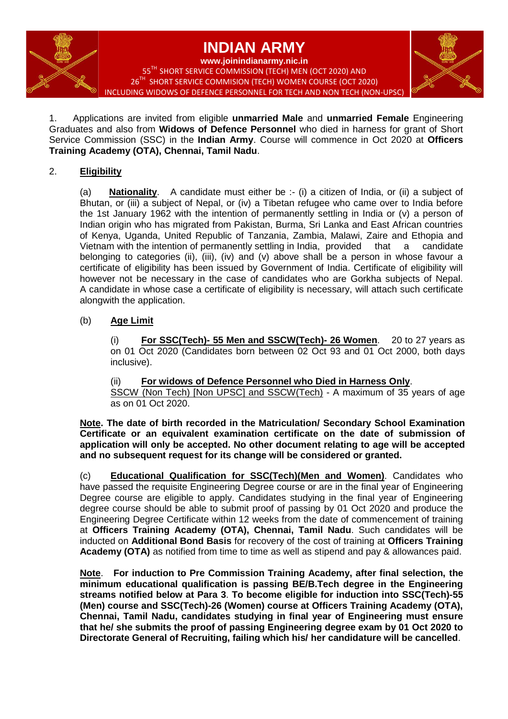

1.Applications are invited from eligible **unmarried Male** and **unmarried Female** Engineering Graduates and also from **Widows of Defence Personnel** who died in harness for grant of Short Service Commission (SSC) in the **Indian Army**. Course will commence in Oct 2020 at **Officers Training Academy (OTA), Chennai, Tamil Nadu**.

# 2. **Eligibility**

(a) **Nationality**.A candidate must either be :- (i) a citizen of India, or (ii) a subject of Bhutan, or (iii) a subject of Nepal, or (iv) a Tibetan refugee who came over to India before the 1st January 1962 with the intention of permanently settling in India or (v) a person of Indian origin who has migrated from Pakistan, Burma, Sri Lanka and East African countries of Kenya, Uganda, United Republic of Tanzania, Zambia, Malawi, Zaire and Ethopia and Vietnam with the intention of permanently settling in India, provided that a candidate belonging to categories (ii), (iii), (iv) and (v) above shall be a person in whose favour a certificate of eligibility has been issued by Government of India. Certificate of eligibility will however not be necessary in the case of candidates who are Gorkha subjects of Nepal. A candidate in whose case a certificate of eligibility is necessary, will attach such certificate alongwith the application.

# (b) **Age Limit**

(i) **For SSC(Tech)- 55 Men and SSCW(Tech)- 26 Women**. 20 to 27 years as on 01 Oct 2020 (Candidates born between 02 Oct 93 and 01 Oct 2000, both days inclusive).

(ii) **For widows of Defence Personnel who Died in Harness Only**. SSCW (Non Tech) [Non UPSC] and SSCW(Tech) - A maximum of 35 years of age as on 01 Oct 2020.

**Note. The date of birth recorded in the Matriculation/ Secondary School Examination Certificate or an equivalent examination certificate on the date of submission of application will only be accepted. No other document relating to age will be accepted and no subsequent request for its change will be considered or granted.**

(c) **Educational Qualification for SSC(Tech)(Men and Women)**. Candidates who have passed the requisite Engineering Degree course or are in the final year of Engineering Degree course are eligible to apply. Candidates studying in the final year of Engineering degree course should be able to submit proof of passing by 01 Oct 2020 and produce the Engineering Degree Certificate within 12 weeks from the date of commencement of training at **Officers Training Academy (OTA), Chennai, Tamil Nadu**. Such candidates will be inducted on **Additional Bond Basis** for recovery of the cost of training at **Officers Training Academy (OTA)** as notified from time to time as well as stipend and pay & allowances paid.

**Note**. **For induction to Pre Commission Training Academy, after final selection, the minimum educational qualification is passing BE/B.Tech degree in the Engineering streams notified below at Para 3**. **To become eligible for induction into SSC(Tech)-55 (Men) course and SSC(Tech)-26 (Women) course at Officers Training Academy (OTA), Chennai, Tamil Nadu, candidates studying in final year of Engineering must ensure that he/ she submits the proof of passing Engineering degree exam by 01 Oct 2020 to Directorate General of Recruiting, failing which his/ her candidature will be cancelled**.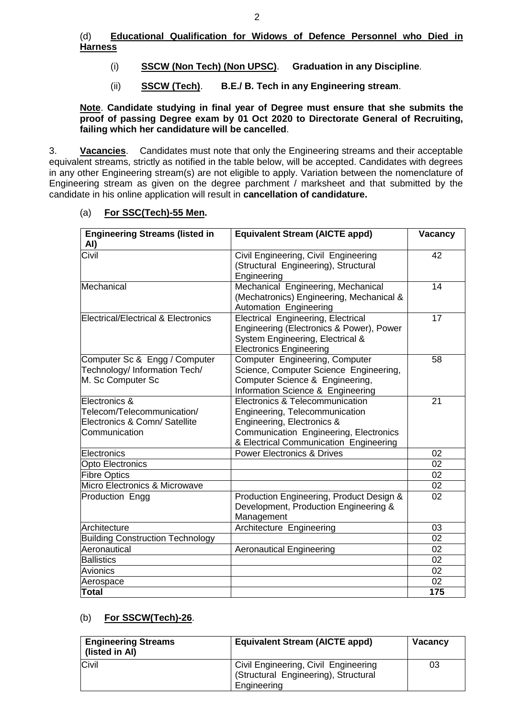### (d) **Educational Qualification for Widows of Defence Personnel who Died in Harness**

- (i) **SSCW (Non Tech) (Non UPSC)**. **Graduation in any Discipline**.
- (ii) **SSCW (Tech)**. **B.E./ B. Tech in any Engineering stream**.

**Note**. **Candidate studying in final year of Degree must ensure that she submits the proof of passing Degree exam by 01 Oct 2020 to Directorate General of Recruiting, failing which her candidature will be cancelled**.

3. **Vacancies**.Candidates must note that only the Engineering streams and their acceptable equivalent streams, strictly as notified in the table below, will be accepted. Candidates with degrees in any other Engineering stream(s) are not eligible to apply. Variation between the nomenclature of Engineering stream as given on the degree parchment / marksheet and that submitted by the candidate in his online application will result in **cancellation of candidature.**

# (a) **For SSC(Tech)-55 Men.**

| <b>Engineering Streams (listed in</b><br>AI)                                                   | <b>Equivalent Stream (AICTE appd)</b>                                                                                                                                               | Vacancy |
|------------------------------------------------------------------------------------------------|-------------------------------------------------------------------------------------------------------------------------------------------------------------------------------------|---------|
| Civil                                                                                          | Civil Engineering, Civil Engineering<br>(Structural Engineering), Structural<br>Engineering                                                                                         | 42      |
| Mechanical                                                                                     | Mechanical Engineering, Mechanical<br>(Mechatronics) Engineering, Mechanical &<br>Automation Engineering                                                                            | 14      |
| Electrical/Electrical & Electronics                                                            | Electrical Engineering, Electrical<br>Engineering (Electronics & Power), Power<br>System Engineering, Electrical &<br><b>Electronics Engineering</b>                                | 17      |
| Computer Sc & Engg / Computer<br>Technology/ Information Tech/<br>M. Sc Computer Sc            | Computer Engineering, Computer<br>Science, Computer Science Engineering,<br>Computer Science & Engineering,<br>Information Science & Engineering                                    | 58      |
| Electronics &<br>Telecom/Telecommunication/<br>Electronics & Comn/ Satellite<br>lCommunication | Electronics & Telecommunication<br>Engineering, Telecommunication<br>Engineering, Electronics &<br>Communication Engineering, Electronics<br>& Electrical Communication Engineering | 21      |
| Electronics                                                                                    | <b>Power Electronics &amp; Drives</b>                                                                                                                                               | 02      |
| Opto Electronics                                                                               |                                                                                                                                                                                     | 02      |
| <b>Fibre Optics</b>                                                                            |                                                                                                                                                                                     | 02      |
| Micro Electronics & Microwave                                                                  |                                                                                                                                                                                     | 02      |
| Production Engg                                                                                | Production Engineering, Product Design &<br>Development, Production Engineering &<br>Management                                                                                     | 02      |
| Architecture                                                                                   | Architecture Engineering                                                                                                                                                            | 03      |
| <b>Building Construction Technology</b>                                                        |                                                                                                                                                                                     | 02      |
| Aeronautical                                                                                   | <b>Aeronautical Engineering</b>                                                                                                                                                     | 02      |
| <b>Ballistics</b>                                                                              |                                                                                                                                                                                     | 02      |
| Avionics                                                                                       |                                                                                                                                                                                     | 02      |
| Aerospace                                                                                      |                                                                                                                                                                                     | 02      |
| Total                                                                                          |                                                                                                                                                                                     | 175     |

#### (b) **For SSCW(Tech)-26**.

| <b>Engineering Streams</b><br>(listed in Al) | <b>Equivalent Stream (AICTE appd)</b>                                                       | <b>Vacancy</b> |
|----------------------------------------------|---------------------------------------------------------------------------------------------|----------------|
| Civil                                        | Civil Engineering, Civil Engineering<br>(Structural Engineering), Structural<br>Engineering | 03             |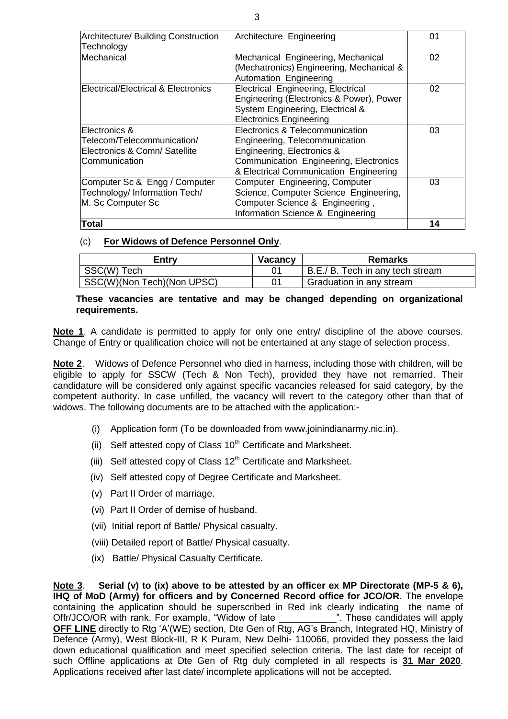| Architecture/ Building Construction<br>Technology                                             | Architecture Engineering                                                                                                                                                            | 01 |
|-----------------------------------------------------------------------------------------------|-------------------------------------------------------------------------------------------------------------------------------------------------------------------------------------|----|
| Mechanical                                                                                    | Mechanical Engineering, Mechanical<br>(Mechatronics) Engineering, Mechanical &<br>Automation Engineering                                                                            | 02 |
| Electrical/Electrical & Electronics                                                           | Electrical Engineering, Electrical<br>Engineering (Electronics & Power), Power<br>System Engineering, Electrical &<br><b>Electronics Engineering</b>                                | 02 |
| Electronics &<br>Telecom/Telecommunication/<br>Electronics & Comn/ Satellite<br>Communication | Electronics & Telecommunication<br>Engineering, Telecommunication<br>Engineering, Electronics &<br>Communication Engineering, Electronics<br>& Electrical Communication Engineering | 03 |
| Computer Sc & Engg / Computer<br>Technology/ Information Tech/<br>M. Sc Computer Sc           | Computer Engineering, Computer<br>Science, Computer Science Engineering,<br>Computer Science & Engineering,<br>Information Science & Engineering                                    | 03 |
| <b>Total</b>                                                                                  |                                                                                                                                                                                     | 14 |

#### (c) **For Widows of Defence Personnel Only**.

| Entry                      | <b>Vacancy</b> | <b>Remarks</b>                   |
|----------------------------|----------------|----------------------------------|
| SSC(W) Tech                |                | B.E./ B. Tech in any tech stream |
| SSC(W)(Non Tech)(Non UPSC) |                | Graduation in any stream         |

#### **These vacancies are tentative and may be changed depending on organizational requirements.**

**Note 1**. A candidate is permitted to apply for only one entry/ discipline of the above courses. Change of Entry or qualification choice will not be entertained at any stage of selection process.

**Note 2**. Widows of Defence Personnel who died in harness, including those with children, will be eligible to apply for SSCW (Tech & Non Tech), provided they have not remarried. Their candidature will be considered only against specific vacancies released for said category, by the competent authority. In case unfilled, the vacancy will revert to the category other than that of widows. The following documents are to be attached with the application:-

- (i) Application form (To be downloaded from www.joinindianarmy.nic.in).
- (ii) Self attested copy of Class  $10<sup>th</sup>$  Certificate and Marksheet.
- (iii) Self attested copy of Class  $12<sup>th</sup>$  Certificate and Marksheet.
- (iv) Self attested copy of Degree Certificate and Marksheet.
- (v) Part II Order of marriage.
- (vi) Part II Order of demise of husband.
- (vii) Initial report of Battle/ Physical casualty.
- (viii) Detailed report of Battle/ Physical casualty.
- (ix) Battle/ Physical Casualty Certificate.

**Note 3**. **Serial (v) to (ix) above to be attested by an officer ex MP Directorate (MP-5 & 6), IHQ of MoD (Army) for officers and by Concerned Record office for JCO/OR**. The envelope containing the application should be superscribed in Red ink clearly indicating the name of Offr/JCO/OR with rank. For example, "Widow of late \_\_\_\_\_\_\_\_\_\_\_\_\_". These candidates will apply Offr/JCO/OR with rank. For example, "Widow of late **OFF LINE** directly to Rtg 'A'(WE) section, Dte Gen of Rtg, AG's Branch, Integrated HQ, Ministry of Defence (Army), West Block-III, R K Puram, New Delhi- 110066, provided they possess the laid down educational qualification and meet specified selection criteria. The last date for receipt of such Offline applications at Dte Gen of Rtg duly completed in all respects is **31 Mar 2020**. Applications received after last date/ incomplete applications will not be accepted.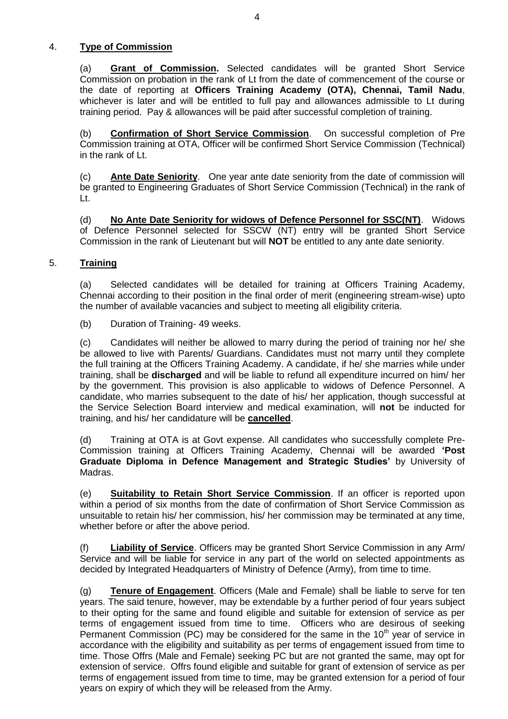# 4. **Type of Commission**

(a) **Grant of Commission.** Selected candidates will be granted Short Service Commission on probation in the rank of Lt from the date of commencement of the course or the date of reporting at **Officers Training Academy (OTA), Chennai, Tamil Nadu**, whichever is later and will be entitled to full pay and allowances admissible to Lt during training period. Pay & allowances will be paid after successful completion of training.

(b) **Confirmation of Short Service Commission**. On successful completion of Pre Commission training at OTA, Officer will be confirmed Short Service Commission (Technical) in the rank of Lt.

(c) **Ante Date Seniority**. One year ante date seniority from the date of commission will be granted to Engineering Graduates of Short Service Commission (Technical) in the rank of Lt.

(d) **No Ante Date Seniority for widows of Defence Personnel for SSC(NT)**. Widows of Defence Personnel selected for SSCW (NT) entry will be granted Short Service Commission in the rank of Lieutenant but will **NOT** be entitled to any ante date seniority.

# 5. **Training**

(a) Selected candidates will be detailed for training at Officers Training Academy, Chennai according to their position in the final order of merit (engineering stream-wise) upto the number of available vacancies and subject to meeting all eligibility criteria.

(b) Duration of Training- 49 weeks.

(c) Candidates will neither be allowed to marry during the period of training nor he/ she be allowed to live with Parents/ Guardians. Candidates must not marry until they complete the full training at the Officers Training Academy. A candidate, if he/ she marries while under training, shall be **discharged** and will be liable to refund all expenditure incurred on him/ her by the government. This provision is also applicable to widows of Defence Personnel. A candidate, who marries subsequent to the date of his/ her application, though successful at the Service Selection Board interview and medical examination, will **not** be inducted for training, and his/ her candidature will be **cancelled**.

(d) Training at OTA is at Govt expense. All candidates who successfully complete Pre-Commission training at Officers Training Academy, Chennai will be awarded **'Post Graduate Diploma in Defence Management and Strategic Studies'** by University of Madras.

(e) **Suitability to Retain Short Service Commission**. If an officer is reported upon within a period of six months from the date of confirmation of Short Service Commission as unsuitable to retain his/ her commission, his/ her commission may be terminated at any time, whether before or after the above period.

(f) **Liability of Service**. Officers may be granted Short Service Commission in any Arm/ Service and will be liable for service in any part of the world on selected appointments as decided by Integrated Headquarters of Ministry of Defence (Army), from time to time.

(g) **Tenure of Engagement**. Officers (Male and Female) shall be liable to serve for ten years. The said tenure, however, may be extendable by a further period of four years subject to their opting for the same and found eligible and suitable for extension of service as per terms of engagement issued from time to time. Officers who are desirous of seeking Permanent Commission (PC) may be considered for the same in the  $10<sup>th</sup>$  year of service in accordance with the eligibility and suitability as per terms of engagement issued from time to time. Those Offrs (Male and Female) seeking PC but are not granted the same, may opt for extension of service. Offrs found eligible and suitable for grant of extension of service as per terms of engagement issued from time to time, may be granted extension for a period of four years on expiry of which they will be released from the Army.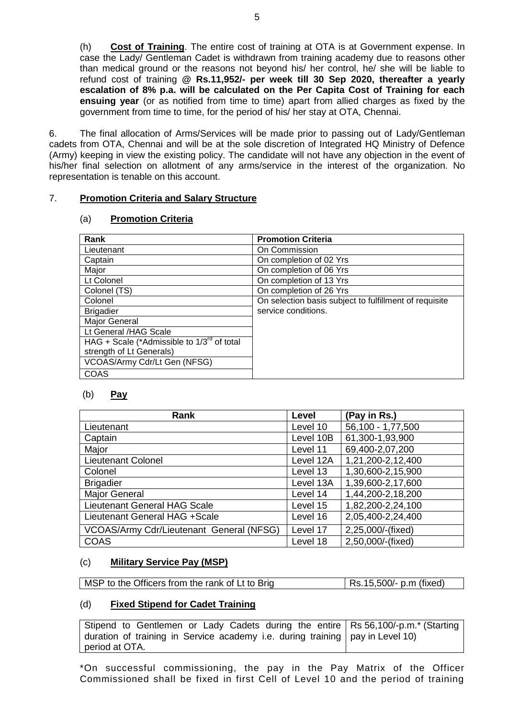(h) **Cost of Training**. The entire cost of training at OTA is at Government expense. In case the Lady/ Gentleman Cadet is withdrawn from training academy due to reasons other than medical ground or the reasons not beyond his/ her control, he/ she will be liable to refund cost of training **@ Rs.11,952/- per week till 30 Sep 2020, thereafter a yearly escalation of 8% p.a. will be calculated on the Per Capita Cost of Training for each ensuing year** (or as notified from time to time) apart from allied charges as fixed by the government from time to time, for the period of his/ her stay at OTA, Chennai.

6. The final allocation of Arms/Services will be made prior to passing out of Lady/Gentleman cadets from OTA, Chennai and will be at the sole discretion of Integrated HQ Ministry of Defence (Army) keeping in view the existing policy. The candidate will not have any objection in the event of his/her final selection on allotment of any arms/service in the interest of the organization. No representation is tenable on this account.

# 7. **Promotion Criteria and Salary Structure**

#### (a) **Promotion Criteria**

| Rank                                            | <b>Promotion Criteria</b>                              |
|-------------------------------------------------|--------------------------------------------------------|
| Lieutenant                                      | On Commission                                          |
| Captain                                         | On completion of 02 Yrs                                |
| Major                                           | On completion of 06 Yrs                                |
| Lt Colonel                                      | On completion of 13 Yrs                                |
| Colonel (TS)                                    | On completion of 26 Yrs                                |
| Colonel                                         | On selection basis subject to fulfillment of requisite |
| <b>Brigadier</b>                                | service conditions.                                    |
| Major General                                   |                                                        |
| Lt General /HAG Scale                           |                                                        |
| HAG + Scale (*Admissible to $1/3^{rd}$ of total |                                                        |
| strength of Lt Generals)                        |                                                        |
| VCOAS/Army Cdr/Lt Gen (NFSG)                    |                                                        |
| <b>COAS</b>                                     |                                                        |

# (b) **Pay**

| Rank                                     | Level     | (Pay in Rs.)      |
|------------------------------------------|-----------|-------------------|
| Lieutenant                               | Level 10  | 56,100 - 1,77,500 |
| Captain                                  | Level 10B | 61,300-1,93,900   |
| Major                                    | Level 11  | 69,400-2,07,200   |
| <b>Lieutenant Colonel</b>                | Level 12A | 1,21,200-2,12,400 |
| Colonel                                  | Level 13  | 1,30,600-2,15,900 |
| <b>Brigadier</b>                         | Level 13A | 1,39,600-2,17,600 |
| <b>Major General</b>                     | Level 14  | 1,44,200-2,18,200 |
| Lieutenant General HAG Scale             | Level 15  | 1,82,200-2,24,100 |
| Lieutenant General HAG +Scale            | Level 16  | 2,05,400-2,24,400 |
| VCOAS/Army Cdr/Lieutenant General (NFSG) | Level 17  | 2,25,000/-(fixed) |
| <b>COAS</b>                              | Level 18  | 2,50,000/-(fixed) |

# (c) **Military Service Pay (MSP)**

MSP to the Officers from the rank of Lt to Brig Rs.15,500/- p.m (fixed)

# (d) **Fixed Stipend for Cadet Training**

Stipend to Gentlemen or Lady Cadets during the entire duration of training in Service academy i.e. during training period at OTA. Rs 56,100/-p.m.\* (Starting pay in Level 10)

\*On successful commissioning, the pay in the Pay Matrix of the Officer Commissioned shall be fixed in first Cell of Level 10 and the period of training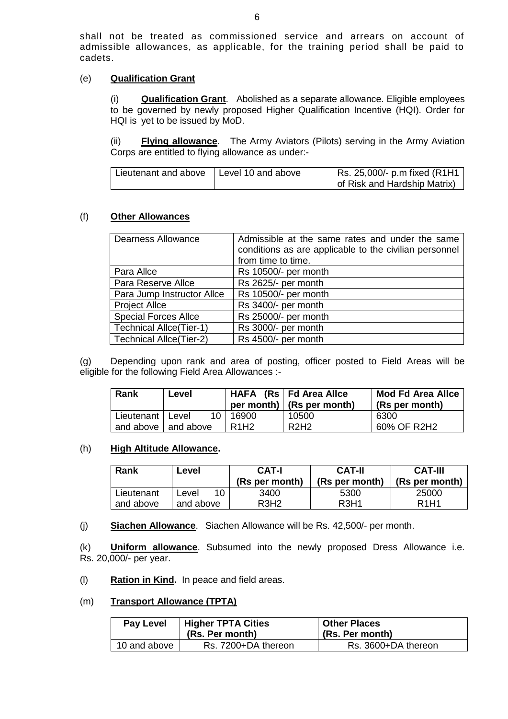shall not be treated as commissioned service and arrears on account of admissible allowances, as applicable, for the training period shall be paid to cadets.

### (e) **Qualification Grant**

(i) **Qualification Grant**.Abolished as a separate allowance. Eligible employees to be governed by newly proposed Higher Qualification Incentive (HQI). Order for HQI is yet to be issued by MoD.

(ii) **Flying allowance**. The Army Aviators (Pilots) serving in the Army Aviation Corps are entitled to flying allowance as under:-

| Lieutenant and above   Level 10 and above | Rs. 25,000/- p.m fixed (R1H1 |
|-------------------------------------------|------------------------------|
|                                           | of Risk and Hardship Matrix) |

#### (f) **Other Allowances**

| <b>Dearness Allowance</b>      | Admissible at the same rates and under the same<br>conditions as are applicable to the civilian personnel<br>from time to time. |  |
|--------------------------------|---------------------------------------------------------------------------------------------------------------------------------|--|
| Para Allce                     | Rs 10500/- per month                                                                                                            |  |
| Para Reserve Allce             | Rs 2625/- per month                                                                                                             |  |
| Para Jump Instructor Allce     | Rs 10500/- per month                                                                                                            |  |
| <b>Project Allce</b>           | Rs 3400/- per month                                                                                                             |  |
| <b>Special Forces Allce</b>    | Rs 25000/- per month                                                                                                            |  |
| <b>Technical Allce(Tier-1)</b> | Rs 3000/- per month                                                                                                             |  |
| <b>Technical Allce(Tier-2)</b> | Rs 4500/- per month                                                                                                             |  |

(g) Depending upon rank and area of posting, officer posted to Field Areas will be eligible for the following Field Area Allowances :-

| Rank               | Level                 |                               | HAFA (Rs   Fd Area Allce)<br>per month) $(Rs per month)$ | <b>Mod Fd Area Allce</b><br>(Rs per month) |
|--------------------|-----------------------|-------------------------------|----------------------------------------------------------|--------------------------------------------|
| Lieutenant   Level |                       | 10   16900                    | 10500                                                    | 6300                                       |
|                    | and above I and above | R <sub>1</sub> H <sub>2</sub> | R <sub>2</sub> H <sub>2</sub>                            | 60% OF R2H2                                |

#### (h) **High Altitude Allowance.**

| Rank       | Level        | <b>CAT-I</b><br>(Rs per month) | <b>CAT-II</b><br>(Rs per month) | <b>CAT-III</b><br>(Rs per month) |
|------------|--------------|--------------------------------|---------------------------------|----------------------------------|
| Lieutenant | 1∩.<br>∟evel | 3400                           | 5300                            | 25000                            |
| and above  | and above    | R3H2                           | R <sub>3</sub> H <sub>1</sub>   | R <sub>1</sub> H <sub>1</sub>    |

(j) **Siachen Allowance**. Siachen Allowance will be Rs. 42,500/- per month.

(k) **Uniform allowance**. Subsumed into the newly proposed Dress Allowance i.e. Rs. 20,000/- per year.

(l) **Ration in Kind.** In peace and field areas.

#### (m) **Transport Allowance (TPTA)**

| <b>Pay Level</b> | <b>Higher TPTA Cities</b><br>(Rs. Per month) | <b>Other Places</b><br>(Rs. Per month) |
|------------------|----------------------------------------------|----------------------------------------|
| 10 and above     | Rs. 7200+DA thereon                          | Rs. 3600+DA thereon                    |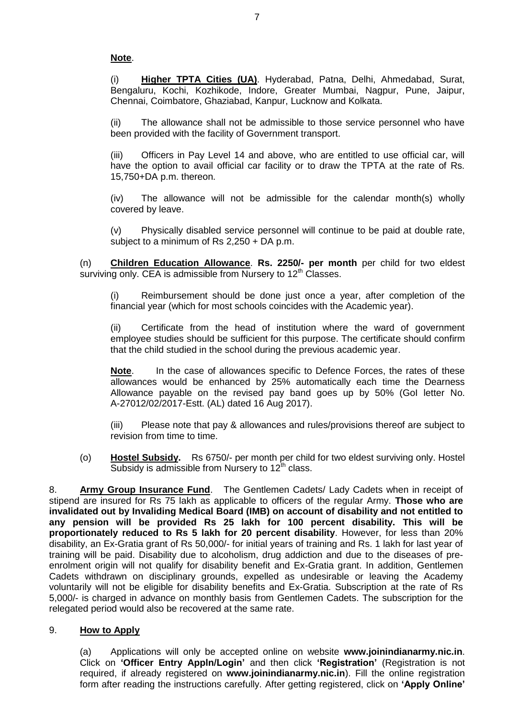# **Note**.

(i) **Higher TPTA Cities (UA)**. Hyderabad, Patna, Delhi, Ahmedabad, Surat, Bengaluru, Kochi, Kozhikode, Indore, Greater Mumbai, Nagpur, Pune, Jaipur, Chennai, Coimbatore, Ghaziabad, Kanpur, Lucknow and Kolkata.

(ii) The allowance shall not be admissible to those service personnel who have been provided with the facility of Government transport.

(iii) Officers in Pay Level 14 and above, who are entitled to use official car, will have the option to avail official car facility or to draw the TPTA at the rate of Rs. 15,750+DA p.m. thereon.

(iv) The allowance will not be admissible for the calendar month(s) wholly covered by leave.

(v) Physically disabled service personnel will continue to be paid at double rate, subject to a minimum of Rs 2,250 + DA p.m.

(n) **Children Education Allowance**. **Rs. 2250/- per month** per child for two eldest surviving only. CEA is admissible from Nursery to  $12<sup>th</sup>$  Classes.

(i) Reimbursement should be done just once a year, after completion of the financial year (which for most schools coincides with the Academic year).

(ii) Certificate from the head of institution where the ward of government employee studies should be sufficient for this purpose. The certificate should confirm that the child studied in the school during the previous academic year.

**Note**. In the case of allowances specific to Defence Forces, the rates of these allowances would be enhanced by 25% automatically each time the Dearness Allowance payable on the revised pay band goes up by 50% (GoI letter No. A-27012/02/2017-Estt. (AL) dated 16 Aug 2017).

(iii) Please note that pay & allowances and rules/provisions thereof are subject to revision from time to time.

(o) **Hostel Subsidy.** Rs 6750/- per month per child for two eldest surviving only. Hostel Subsidy is admissible from Nursery to  $12<sup>th</sup>$  class.

8. **Army Group Insurance Fund**.The Gentlemen Cadets/ Lady Cadets when in receipt of stipend are insured for Rs 75 lakh as applicable to officers of the regular Army. **Those who are invalidated out by Invaliding Medical Board (IMB) on account of disability and not entitled to any pension will be provided Rs 25 lakh for 100 percent disability. This will be proportionately reduced to Rs 5 lakh for 20 percent disability**. However, for less than 20% disability, an Ex-Gratia grant of Rs 50,000/- for initial years of training and Rs. 1 lakh for last year of training will be paid. Disability due to alcoholism, drug addiction and due to the diseases of preenrolment origin will not qualify for disability benefit and Ex-Gratia grant. In addition, Gentlemen Cadets withdrawn on disciplinary grounds, expelled as undesirable or leaving the Academy voluntarily will not be eligible for disability benefits and Ex-Gratia. Subscription at the rate of Rs 5,000/- is charged in advance on monthly basis from Gentlemen Cadets. The subscription for the relegated period would also be recovered at the same rate.

# 9. **How to Apply**

(a) Applications will only be accepted online on website **www.joinindianarmy.nic.in**. Click on **'Officer Entry Appln/Login'** and then click **'Registration'** (Registration is not required, if already registered on **[www.joinindianarmy.nic.in](http://www.joinindianarmy.nic.in/)**). Fill the online registration form after reading the instructions carefully. After getting registered, click on **'Apply Online'**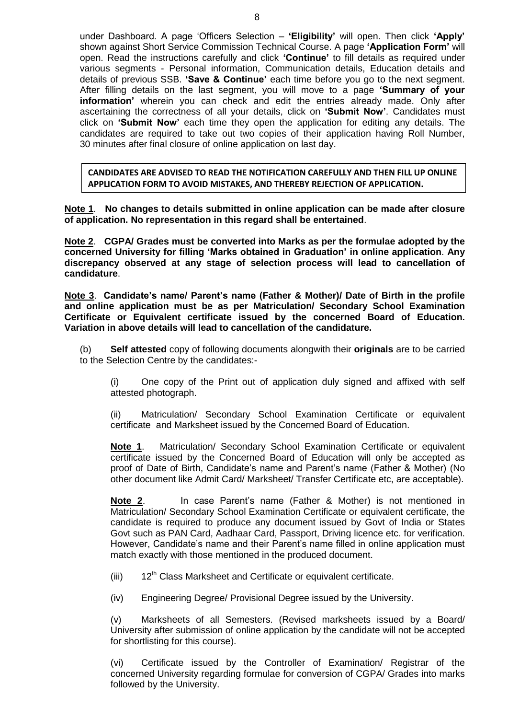under Dashboard. A page 'Officers Selection – **'Eligibility'** will open. Then click **'Apply'** shown against Short Service Commission Technical Course. A page **'Application Form'** will open. Read the instructions carefully and click **'Continue'** to fill details as required under various segments - Personal information, Communication details, Education details and details of previous SSB. **'Save & Continue'** each time before you go to the next segment. After filling details on the last segment, you will move to a page **'Summary of your information'** wherein you can check and edit the entries already made. Only after ascertaining the correctness of all your details, click on **'Submit Now'**. Candidates must click on **'Submit Now'** each time they open the application for editing any details. The candidates are required to take out two copies of their application having Roll Number, 30 minutes after final closure of online application on last day.

**CANDIDATES ARE ADVISED TO READ THE NOTIFICATION CAREFULLY AND THEN FILL UP ONLINE APPLICATION FORM TO AVOID MISTAKES, AND THEREBY REJECTION OF APPLICATION.**

**Note 1**. **No changes to details submitted in online application can be made after closure of application. No representation in this regard shall be entertained**.

**Note 2**. **CGPA/ Grades must be converted into Marks as per the formulae adopted by the concerned University for filling 'Marks obtained in Graduation' in online application**. **Any discrepancy observed at any stage of selection process will lead to cancellation of candidature**.

**Note 3**. **Candidate's name/ Parent's name (Father & Mother)/ Date of Birth in the profile and online application must be as per Matriculation/ Secondary School Examination Certificate or Equivalent certificate issued by the concerned Board of Education. Variation in above details will lead to cancellation of the candidature.**

(b) **Self attested** copy of following documents alongwith their **originals** are to be carried to the Selection Centre by the candidates:-

(i) One copy of the Print out of application duly signed and affixed with self attested photograph.

(ii) Matriculation/ Secondary School Examination Certificate or equivalent certificate and Marksheet issued by the Concerned Board of Education.

**Note 1**. Matriculation/ Secondary School Examination Certificate or equivalent certificate issued by the Concerned Board of Education will only be accepted as proof of Date of Birth, Candidate's name and Parent's name (Father & Mother) (No other document like Admit Card/ Marksheet/ Transfer Certificate etc, are acceptable).

**Note 2**. In case Parent's name (Father & Mother) is not mentioned in Matriculation/ Secondary School Examination Certificate or equivalent certificate, the candidate is required to produce any document issued by Govt of India or States Govt such as PAN Card, Aadhaar Card, Passport, Driving licence etc. for verification. However, Candidate's name and their Parent's name filled in online application must match exactly with those mentioned in the produced document.

 $(iii)$  12<sup>th</sup> Class Marksheet and Certificate or equivalent certificate.

(iv) Engineering Degree/ Provisional Degree issued by the University.

(v) Marksheets of all Semesters. (Revised marksheets issued by a Board/ University after submission of online application by the candidate will not be accepted for shortlisting for this course).

(vi) Certificate issued by the Controller of Examination/ Registrar of the concerned University regarding formulae for conversion of CGPA/ Grades into marks followed by the University.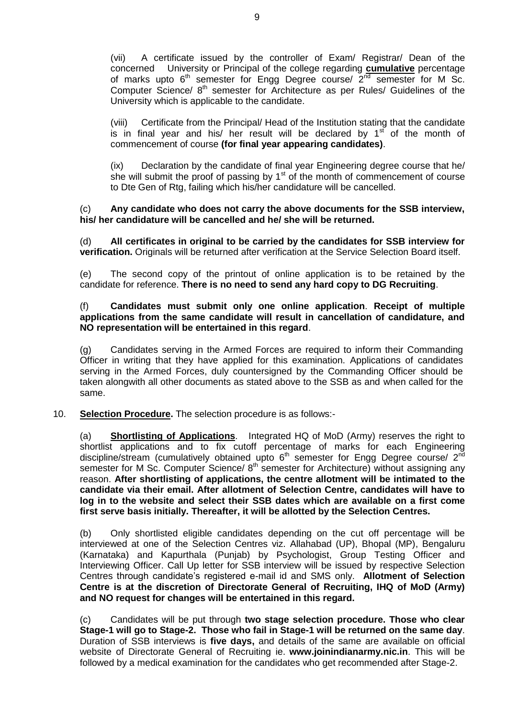(vii) A certificate issued by the controller of Exam/ Registrar/ Dean of the concerned University or Principal of the college regarding **cumulative** percentage of marks upto  $6<sup>th</sup>$  semester for Engg Degree course/  $2<sup>nd</sup>$  semester for M Sc. Computer Science/ 8<sup>th</sup> semester for Architecture as per Rules/ Guidelines of the University which is applicable to the candidate.

(viii) Certificate from the Principal/ Head of the Institution stating that the candidate is in final year and his/ her result will be declared by  $1<sup>st</sup>$  of the month of commencement of course **(for final year appearing candidates)**.

(ix) Declaration by the candidate of final year Engineering degree course that he/ she will submit the proof of passing by  $1<sup>st</sup>$  of the month of commencement of course to Dte Gen of Rtg, failing which his/her candidature will be cancelled.

#### (c) **Any candidate who does not carry the above documents for the SSB interview, his/ her candidature will be cancelled and he/ she will be returned.**

(d) **All certificates in original to be carried by the candidates for SSB interview for verification.** Originals will be returned after verification at the Service Selection Board itself.

(e) The second copy of the printout of online application is to be retained by the candidate for reference. **There is no need to send any hard copy to DG Recruiting**.

### (f) **Candidates must submit only one online application**. **Receipt of multiple applications from the same candidate will result in cancellation of candidature, and NO representation will be entertained in this regard**.

(g) Candidates serving in the Armed Forces are required to inform their Commanding Officer in writing that they have applied for this examination. Applications of candidates serving in the Armed Forces, duly countersigned by the Commanding Officer should be taken alongwith all other documents as stated above to the SSB as and when called for the same.

# 10. **Selection Procedure.** The selection procedure is as follows:-

(a) **Shortlisting of Applications**.Integrated HQ of MoD (Army) reserves the right to shortlist applications and to fix cutoff percentage of marks for each Engineering discipline/stream (cumulatively obtained upto  $6<sup>th</sup>$  semester for Engg Degree course/ 2<sup>nd</sup> semester for M Sc. Computer Science/  $8<sup>th</sup>$  semester for Architecture) without assigning any reason. **After shortlisting of applications, the centre allotment will be intimated to the candidate via their email. After allotment of Selection Centre, candidates will have to log in to the website and select their SSB dates which are available on a first come first serve basis initially. Thereafter, it will be allotted by the Selection Centres.**

(b) Only shortlisted eligible candidates depending on the cut off percentage will be interviewed at one of the Selection Centres viz. Allahabad (UP), Bhopal (MP), Bengaluru (Karnataka) and Kapurthala (Punjab) by Psychologist, Group Testing Officer and Interviewing Officer. Call Up letter for SSB interview will be issued by respective Selection Centres through candidate's registered e-mail id and SMS only. **Allotment of Selection Centre is at the discretion of Directorate General of Recruiting, IHQ of MoD (Army) and NO request for changes will be entertained in this regard.** 

(c) Candidates will be put through **two stage selection procedure. Those who clear Stage-1 will go to Stage-2. Those who fail in Stage-1 will be returned on the same day**. Duration of SSB interviews is **five days,** and details of the same are available on official website of Directorate General of Recruiting ie. **[www.joinindianarmy.nic.in](http://www.joinindianarmy.nic.in/)**. This will be followed by a medical examination for the candidates who get recommended after Stage-2.